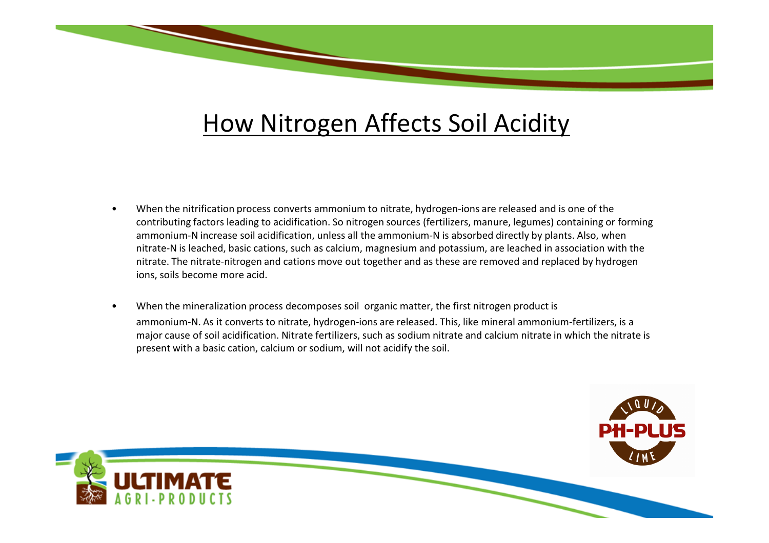## How Nitrogen Affects Soil Acidity

- • When the nitrification process converts ammonium to nitrate, hydrogen-ions are released and is one of the contributing factors leading to acidification. So nitrogen sources (fertilizers, manure, legumes) containing or forming ammonium-N increase soil acidification, unless all the ammonium-N is absorbed directly by plants. Also, when nitrate-N is leached, basic cations, such as calcium, magnesium and potassium, are leached in association with the nitrate. The nitrate-nitrogen and cations move out together and as these are removed and replaced by hydrogen ions, soils become more acid.
- • When the mineralization process decomposes soil organic matter, the first nitrogen product is ammonium-N. As it converts to nitrate, hydrogen-ions are released. This, like mineral ammonium-fertilizers, is a major cause of soil acidification. Nitrate fertilizers, such as sodium nitrate and calcium nitrate in which the nitrate is present with a basic cation, calcium or sodium, will not acidify the soil.